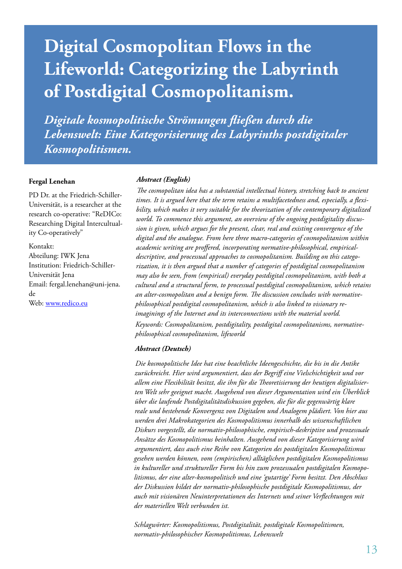# **Digital Cosmopolitan Flows in the Lifeworld: Categorizing the Labyrinth of Postdigital Cosmopolitanism.**

*Digitale kosmopolitische Strömungen fließen durch die Lebenswelt: Eine Kategorisierung des Labyrinths postdigitaler Kosmopolitismen.*

#### **Fergal Lenehan**

PD Dr. at the Friedrich-Schiller-Universität, is a researcher at the research co-operative: "ReDICo: Researching Digital Intercultuality Co-operatively"

Kontakt: Abteilung: IWK Jena Institution: Friedrich-Schiller-Universität Jena Email: fergal.lenehan@uni-jena. de Web: www.redico.eu

#### *Abstract (English)*

*The cosmopolitan idea has a substantial intellectual history, stretching back to ancient times. It is argued here that the term retains a multifacetedness and, especially, a flexibility, which makes it very suitable for the theorization of the contemporary digitalized world. To commence this argument, an overview of the ongoing postdigitality discussion is given, which argues for the present, clear, real and existing convergence of the digital and the analogue. From here three macro-categories of cosmopolitanism within academic writing are proffered, incorporating normative-philosophical, empiricaldescriptive, and processual approaches to cosmopolitanism. Building on this categorization, it is then argued that a number of categories of postdigital cosmopolitanism may also be seen, from (empirical) everyday postdigital cosmopolitanism, with both a cultural and a structural form, to processual postdigital cosmopolitanism, which retains an alter-cosmopolitan and a benign form. The discussion concludes with normativephilosophical postdigital cosmopolitanism, which is also linked to visionary reimaginings of the Internet and its interconnections with the material world. Keywords: Cosmopolitanism, postdigitality, postdigital cosmopolitanisms, normativephilosophical cosmopolitanism, lifeworld*

#### *Abstract (Deutsch)*

*Die kosmopolitische Idee hat eine beachtliche Ideengeschichte, die bis in die Antike zurückreicht. Hier wird argumentiert, dass der Begriff eine Vielschichtigkeit und vor allem eine Flexibilität besitzt, die ihn für die Theoretisierung der heutigen digitalisierten Welt sehr geeignet macht. Ausgehend von dieser Argumentation wird ein Überblick über die laufende Postdigitalitätsdiskussion gegeben, die für die gegenwärtig klare reale und bestehende Konvergenz von Digitalem und Analogem plädiert. Von hier aus werden drei Makrokategorien des Kosmopolitismus innerhalb des wissenschaftlichen Diskurs vorgestellt, die normativ-philosophische, empirisch-deskriptive und prozessuale Ansätze des Kosmopolitismus beinhalten. Ausgehend von dieser Kategorisierung wird argumentiert, dass auch eine Reihe von Kategorien des postdigitalen Kosmopolitismus gesehen werden können, vom (empirischen) alltäglichen postdigitalen Kosmopolitismus in kultureller und struktureller Form bis hin zum prozessualen postdigitalen Kosmopolitismus, der eine alter-kosmopolitisch und eine 'gutartige' Form besitzt. Den Abschluss der Diskussion bildet der normativ-philosophische postdigitale Kosmopolitismus, der auch mit visionären Neuinterpretationen des Internets und seiner Verflechtungen mit der materiellen Welt verbunden ist.*

*Schlagwörter: Kosmopolitismus, Postdigitalität, postdigitale Kosmopolitismen, normativ-philosophischer Kosmopolitismus, Lebenswelt*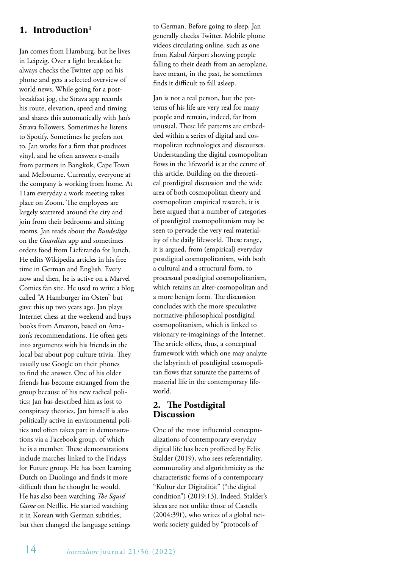## **1. Introduction1**

Jan comes from Hamburg, but he lives in Leipzig. Over a light breakfast he always checks the Twitter app on his phone and gets a selected overview of world news. While going for a postbreakfast jog, the Strava app records his route, elevation, speed and timing and shares this automatically with Jan's Strava followers. Sometimes he listens to Spotify. Sometimes he prefers not to. Jan works for a firm that produces vinyl, and he often answers e-mails from partners in Bangkok, Cape Town and Melbourne. Currently, everyone at the company is working from home. At 11am everyday a work meeting takes place on Zoom. The employees are largely scattered around the city and join from their bedrooms and sitting rooms. Jan reads about the *Bundesliga* on the *Guardian* app and sometimes orders food from Lieferando for lunch. He edits Wikipedia articles in his free time in German and English. Every now and then, he is active on a Marvel Comics fan site. He used to write a blog called "A Hamburger im Osten" but gave this up two years ago. Jan plays Internet chess at the weekend and buys books from Amazon, based on Amazon's recommendations. He often gets into arguments with his friends in the local bar about pop culture trivia. They usually use Google on their phones to find the answer. One of his older friends has become estranged from the group because of his new radical politics; Jan has described him as lost to conspiracy theories. Jan himself is also politically active in environmental politics and often takes part in demonstrations via a Facebook group, of which he is a member. These demonstrations include marches linked to the Fridays for Future group. He has been learning Dutch on Duolingo and finds it more difficult than he thought he would. He has also been watching *The Squid Game* on Netflix. He started watching it in Korean with German subtitles, but then changed the language settings

to German. Before going to sleep, Jan generally checks Twitter. Mobile phone videos circulating online, such as one from Kabul Airport showing people falling to their death from an aeroplane, have meant, in the past, he sometimes finds it difficult to fall asleep.

Jan is not a real person, but the patterns of his life are very real for many people and remain, indeed, far from unusual. These life patterns are embedded within a series of digital and cosmopolitan technologies and discourses. Understanding the digital cosmopolitan flows in the lifeworld is at the centre of this article. Building on the theoretical postdigital discussion and the wide area of both cosmopolitan theory and cosmopolitan empirical research, it is here argued that a number of categories of postdigital cosmopolitanism may be seen to pervade the very real materiality of the daily lifeworld. These range, it is argued, from (empirical) everyday postdigital cosmopolitanism, with both a cultural and a structural form, to processual postdigital cosmopolitanism, which retains an alter-cosmopolitan and a more benign form. The discussion concludes with the more speculative normative-philosophical postdigital cosmopolitanism, which is linked to visionary re-imaginings of the Internet. The article offers, thus, a conceptual framework with which one may analyze the labyrinth of postdigital cosmopolitan flows that saturate the patterns of material life in the contemporary lifeworld.

### **2. The Postdigital Discussion**

One of the most influential conceptualizations of contemporary everyday digital life has been proffered by Felix Stalder (2019), who sees referentiality, communality and algorithmicity as the characteristic forms of a contemporary "Kultur der Digitalität" ("the digital condition") (2019:13). Indeed, Stalder's ideas are not unlike those of Castells (2004:39f), who writes of a global network society guided by "protocols of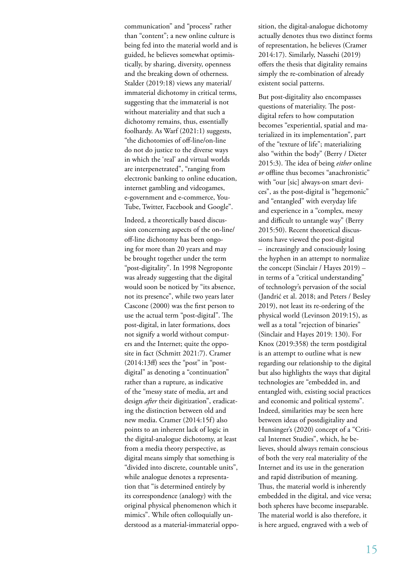communication" and "process" rather than "content"; a new online culture is being fed into the material world and is guided, he believes somewhat optimistically, by sharing, diversity, openness and the breaking down of otherness. Stalder (2019:18) views any material/ immaterial dichotomy in critical terms, suggesting that the immaterial is not without materiality and that such a dichotomy remains, thus, essentially foolhardy. As Warf (2021:1) suggests, "the dichotomies of off-line/on-line do not do justice to the diverse ways in which the 'real' and virtual worlds are interpenetrated", "ranging from electronic banking to online education, internet gambling and videogames, e-government and e-commerce, You-Tube, Twitter, Facebook and Google".

Indeed, a theoretically based discussion concerning aspects of the on-line/ off-line dichotomy has been ongoing for more than 20 years and may be brought together under the term "post-digitality". In 1998 Negroponte was already suggesting that the digital would soon be noticed by "its absence, not its presence", while two years later Cascone (2000) was the first person to use the actual term "post-digital". The post-digital, in later formations, does not signify a world without computers and the Internet; quite the opposite in fact (Schmitt 2021:7). Cramer  $(2014:13ff)$  sees the "post" in "postdigital" as denoting a "continuation" rather than a rupture, as indicative of the "messy state of media, art and design *after* their digitization", eradicating the distinction between old and new media. Cramer (2014:15f) also points to an inherent lack of logic in the digital-analogue dichotomy, at least from a media theory perspective, as digital means simply that something is "divided into discrete, countable units", while analogue denotes a representation that "is determined entirely by its correspondence (analogy) with the original physical phenomenon which it mimics". While often colloquially understood as a material-immaterial opposition, the digital-analogue dichotomy actually denotes thus two distinct forms of representation, he believes (Cramer 2014:17). Similarly, Nassehi (2019) offers the thesis that digitality remains simply the re-combination of already existent social patterns.

But post-digitality also encompasses questions of materiality. The postdigital refers to how computation becomes "experiential, spatial and materialized in its implementation", part of the "texture of life"; materializing also "within the body" (Berry / Dieter 2015:3). The idea of being *either* online *or* offline thus becomes "anachronistic" with "our [sic] always-on smart devices", as the post-digital is "hegemonic" and "entangled" with everyday life and experience in a "complex, messy and difficult to untangle way" (Berry 2015:50). Recent theoretical discussions have viewed the post-digital – increasingly and consciously losing the hyphen in an attempt to normalize the concept (Sinclair / Hayes 2019) – in terms of a "critical understanding" of technology's pervasion of the social (Jandrić et al. 2018; and Peters / Besley 2019), not least its re-ordering of the physical world (Levinson 2019:15), as well as a total "rejection of binaries" (Sinclair and Hayes 2019: 130). For Knox (2019:358) the term postdigital is an attempt to outline what is new regarding our relationship to the digital but also highlights the ways that digital technologies are "embedded in, and entangled with, existing social practices and economic and political systems". Indeed, similarities may be seen here between ideas of postdigitality and Hunsinger's (2020) concept of a "Critical Internet Studies", which, he believes, should always remain conscious of both the very real materiality of the Internet and its use in the generation and rapid distribution of meaning. Thus, the material world is inherently embedded in the digital, and vice versa; both spheres have become inseparable. The material world is also therefore, it is here argued, engraved with a web of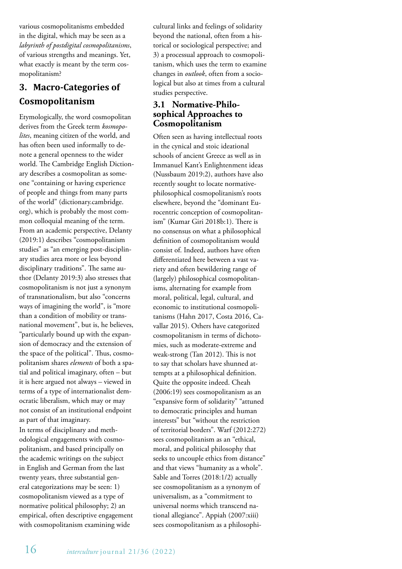various cosmopolitanisms embedded in the digital, which may be seen as a *labyrinth of postdigital cosmopolitanisms*, of various strengths and meanings. Yet, what exactly is meant by the term cosmopolitanism?

## **3. Macro-Categories of Cosmopolitanism**

Etymologically, the word cosmopolitan derives from the Greek term *kosmopolites*, meaning citizen of the world, and has often been used informally to denote a general openness to the wider world. The Cambridge English Dictionary describes a cosmopolitan as someone "containing or having experience of people and things from many parts of the world" (dictionary.cambridge. org), which is probably the most common colloquial meaning of the term. From an academic perspective, Delanty (2019:1) describes "cosmopolitanism studies" as "an emerging post-disciplinary studies area more or less beyond disciplinary traditions". The same author (Delanty 2019:3) also stresses that cosmopolitanism is not just a synonym of transnationalism, but also "concerns ways of imagining the world", is "more than a condition of mobility or transnational movement", but is, he believes, "particularly bound up with the expansion of democracy and the extension of the space of the political". Thus, cosmopolitanism shares *elements* of both a spatial and political imaginary, often – but it is here argued not always – viewed in terms of a type of internationalist democratic liberalism, which may or may not consist of an institutional endpoint as part of that imaginary.

In terms of disciplinary and methodological engagements with cosmopolitanism, and based principally on the academic writings on the subject in English and German from the last twenty years, three substantial general categorizations may be seen: 1) cosmopolitanism viewed as a type of normative political philosophy; 2) an empirical, often descriptive engagement with cosmopolitanism examining wide

cultural links and feelings of solidarity beyond the national, often from a historical or sociological perspective; and 3) a processual approach to cosmopolitanism, which uses the term to examine changes in *outlook*, often from a sociological but also at times from a cultural studies perspective.

#### **3.1 Normative-Philosophical Approaches to Cosmopolitanism**

Often seen as having intellectual roots in the cynical and stoic ideational schools of ancient Greece as well as in Immanuel Kant's Enlightenment ideas (Nussbaum 2019:2), authors have also recently sought to locate normativephilosophical cosmopolitanism's roots elsewhere, beyond the "dominant Eurocentric conception of cosmopolitanism" (Kumar Giri 2018b:1). There is no consensus on what a philosophical definition of cosmopolitanism would consist of. Indeed, authors have often differentiated here between a vast variety and often bewildering range of (largely) philosophical cosmopolitanisms, alternating for example from moral, political, legal, cultural, and economic to institutional cosmopolitanisms (Hahn 2017, Costa 2016, Cavallar 2015). Others have categorized cosmopolitanism in terms of dichotomies, such as moderate-extreme and weak-strong (Tan 2012). This is not to say that scholars have shunned attempts at a philosophical definition. Quite the opposite indeed. Cheah (2006:19) sees cosmopolitanism as an "expansive form of solidarity" "attuned to democratic principles and human interests" but "without the restriction of territorial borders". Warf (2012:272) sees cosmopolitanism as an "ethical, moral, and political philosophy that seeks to uncouple ethics from distance" and that views "humanity as a whole". Sable and Torres (2018:1/2) actually see cosmopolitanism as a synonym of universalism, as a "commitment to universal norms which transcend national allegiance". Appiah (2007:xiii) sees cosmopolitanism as a philosophi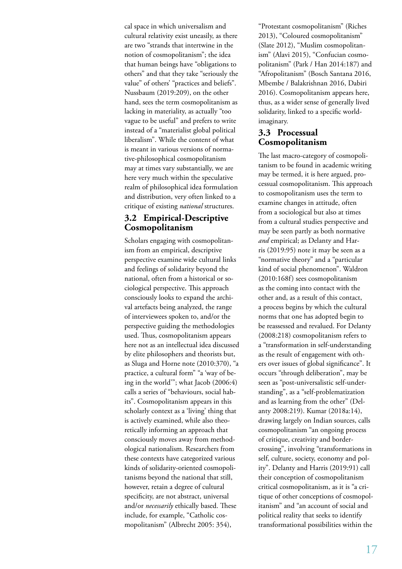cal space in which universalism and cultural relativity exist uneasily, as there are two "strands that intertwine in the notion of cosmopolitanism"; the idea that human beings have "obligations to others" and that they take "seriously the value" of others' "practices and beliefs". Nussbaum (2019:209), on the other hand, sees the term cosmopolitanism as lacking in materiality, as actually "too vague to be useful" and prefers to write instead of a "materialist global political liberalism". While the content of what is meant in various versions of normative-philosophical cosmopolitanism may at times vary substantially, we are here very much within the speculative realm of philosophical idea formulation and distribution, very often linked to a critique of existing *national* structures.

#### **3.2 Empirical-Descriptive Cosmopolitanism**

Scholars engaging with cosmopolitanism from an empirical, descriptive perspective examine wide cultural links and feelings of solidarity beyond the national, often from a historical or sociological perspective. This approach consciously looks to expand the archival artefacts being analyzed, the range of interviewees spoken to, and/or the perspective guiding the methodologies used. Thus, cosmopolitanism appears here not as an intellectual idea discussed by elite philosophers and theorists but, as Sluga and Horne note (2010:370), "a practice, a cultural form" "a 'way of being in the world'"; what Jacob (2006:4) calls a series of "behaviours, social habits". Cosmopolitanism appears in this scholarly context as a 'living' thing that is actively examined, while also theoretically informing an approach that consciously moves away from methodological nationalism. Researchers from these contexts have categorized various kinds of solidarity-oriented cosmopolitanisms beyond the national that still, however, retain a degree of cultural specificity, are not abstract, universal and/or *necessarily* ethically based. These include, for example, "Catholic cosmopolitanism" (Albrecht 2005: 354),

"Protestant cosmopolitanism" (Riches 2013), "Coloured cosmopolitanism" (Slate 2012), "Muslim cosmopolitanism" (Alavi 2015), "Confucian cosmopolitanism" (Park / Han 2014:187) and "Afropolitanism" (Bosch Santana 2016, Mbembe / Balakrishnan 2016, Dabiri 2016). Cosmopolitanism appears here, thus, as a wider sense of generally lived solidarity, linked to a specific worldimaginary.

#### **3.3 Processual Cosmopolitanism**

The last macro-category of cosmopolitanism to be found in academic writing may be termed, it is here argued, processual cosmopolitanism. This approach to cosmopolitanism uses the term to examine changes in attitude, often from a sociological but also at times from a cultural studies perspective and may be seen partly as both normative *and* empirical; as Delanty and Harris (2019:95) note it may be seen as a "normative theory" and a "particular kind of social phenomenon". Waldron (2010:168f) sees cosmopolitanism as the coming into contact with the other and, as a result of this contact, a process begins by which the cultural norms that one has adopted begin to be reassessed and revalued. For Delanty (2008:218) cosmopolitanism refers to a "transformation in self-understanding as the result of engagement with others over issues of global significance". It occurs "through deliberation", may be seen as "post-universalistic self-understanding", as a "self-problematization and as learning from the other" (Delanty 2008:219). Kumar (2018a:14), drawing largely on Indian sources, calls cosmopolitanism "an ongoing process of critique, creativity and bordercrossing", involving "transformations in self, culture, society, economy and polity". Delanty and Harris (2019:91) call their conception of cosmopolitanism critical cosmopolitanism, as it is "a critique of other conceptions of cosmopolitanism" and "an account of social and political reality that seeks to identify transformational possibilities within the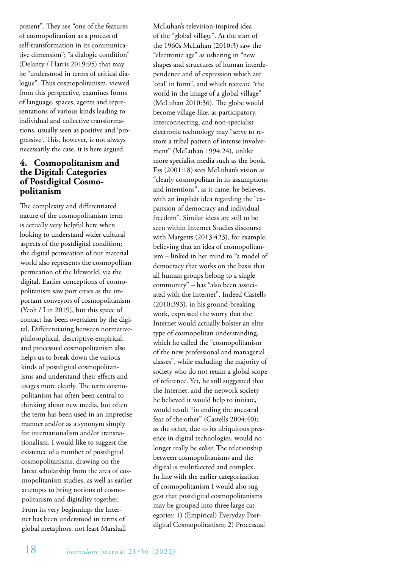present". They see "one of the features of cosmopolitanism as a process of self-transformation in its communicative dimension"; "a dialogic condition" (Delanty / Harris 2019:95) that may be "understood in terms of critical dialogue". Thus cosmopolitanism, viewed from this perspective, examines forms of language, spaces, agents and representations of various kinds leading to individual and collective transformations, usually seen as positive and 'progressive'. This, however, is not always necessarily the case, it is here argued.

#### **4. Cosmopolitanism and the Digital: Categories of Postdigital Cosmopolitanism**

The complexity and differentiated nature of the cosmopolitanism term is actually very helpful here when looking to understand wider cultural aspects of the postdigital condition; the digital permeation of our material world also represents the cosmopolitan permeation of the lifeworld, via the digital. Earlier conceptions of cosmopolitanism saw port cities as the important conveyors of cosmopolitanism (Yeoh / Lin 2019), but this space of contact has been overtaken by the digital. Differentiating between normativephilosophical, descriptive-empirical, and processual cosmopolitanism also helps us to break down the various kinds of postdigital cosmopolitanisms and understand their effects and usages more clearly. The term cosmopolitanism has often been central to thinking about new media, but often the term has been used in an imprecise manner and/or as a synonym simply for internationalism and/or transnationalism. I would like to suggest the existence of a number of postdigital cosmopolitanisms, drawing on the latest scholarship from the area of cosmopolitanism studies, as well as earlier attempts to bring notions of cosmopolitanism and digitality together. From its very beginnings the Internet has been understood in terms of global metaphors, not least Marshall

McLuhan's television-inspired idea of the "global village". At the start of the 1960s McLuhan (2010:3) saw the "electronic age" as ushering in "new shapes and structures of human interdependence and of expression which are 'oral' in form", and which recreate "the world in the image of a global village" (McLuhan 2010:36). The globe would become village-like, as participatory, interconnecting, and non-specialist electronic technology may "serve to restore a tribal pattern of intense involvement" (McLuhan 1994:24), unlike more specialist media such as the book. Ess (2001:18) sees McLuhan's vision as "clearly cosmopolitan in its assumptions and intentions", as it came, he believes, with an implicit idea regarding the "expansion of democracy and individual freedom". Similar ideas are still to be seen within Internet Studies discourse with Margetts (2013:423), for example, believing that an idea of cosmopolitanism – linked in her mind to "a model of democracy that works on the basis that all human groups belong to a single community" – has "also been associated with the Internet". Indeed Castells (2010:393), in his ground-breaking work, expressed the worry that the Internet would actually bolster an elite type of cosmopolitan understanding, which he called the "cosmopolitanism of the new professional and managerial classes", while excluding the majority of society who do not retain a global scope of reference. Yet, he still suggested that the Internet, and the network society he believed it would help to initiate, would result "in ending the ancestral fear of the other" (Castells 2004:40); as the other, due to its ubiquitous presence in digital technologies, would no longer really be *other*. The relationship between cosmopolitanisms and the digital is multifaceted and complex. In line with the earlier categorization of cosmopolitanism I would also suggest that postdigital cosmopolitanisms may be grouped into three large categories: 1) (Empirical) Everyday Postdigital Cosmopolitanism; 2) Processual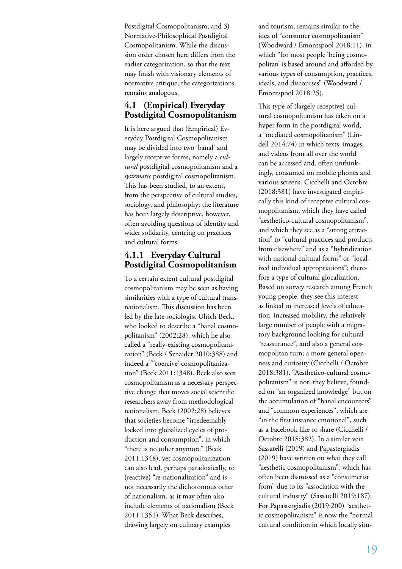Postdigital Cosmopolitanism; and 3) Normative-Philosophical Postdigital Cosmopolitanism. While the discussion order chosen here differs from the earlier categorization, so that the text may finish with visionary elements of normative critique, the categorizations remains analogous.

#### **4.1 (Empirical) Everyday Postdigital Cosmopolitanism**

It is here argued that (Empirical) Everyday Postdigital Cosmopolitanism may be divided into two 'banal' and largely receptive forms, namely a *cultural* postdigital cosmopolitanism and a *systematic* postdigital cosmopolitanism. This has been studied, to an extent, from the perspective of cultural studies, sociology, and philosophy; the literature has been largely descriptive, however, often avoiding questions of identity and wider solidarity, centring on practices and cultural forms.

### **4.1.1 Everyday Cultural Postdigital Cosmopolitanism**

To a certain extent cultural postdigital cosmopolitanism may be seen as having similarities with a type of cultural transnationalism. This discussion has been led by the late sociologist Ulrich Beck, who looked to describe a "banal cosmopolitanism" (2002:28), which he also called a "really-existing cosmopolitanization" (Beck / Sznaider 2010:388) and indeed a "'coercive' cosmopolitanization" (Beck 2011:1348). Beck also sees cosmopolitanism as a necessary perspective change that moves social scientific researchers away from methodological nationalism. Beck (2002:28) believes that societies become "irredeemably locked into globalized cycles of production and consumption", in which "there is no other anymore" (Beck 2011:1348), yet cosmopolitanization can also lead, perhaps paradoxically, to (reactive) "re-nationalization" and is not necessarily the dichotomous other of nationalism, as it may often also include elements of nationalism (Beck 2011:1351). What Beck describes, drawing largely on culinary examples

and tourism, remains similar to the idea of "consumer cosmopolitanism" (Woodward / Emontspool 2018:11), in which "for most people 'being cosmopolitan' is based around and afforded by various types of consumption, practices, ideals, and discourses" (Woodward / Emontspool 2018:25).

This type of (largely receptive) cultural cosmopolitanism has taken on a hyper form in the postdigital world, a "mediated cosmopolitanism" (Lindell 2014:74) in which texts, images, and videos from all over the world can be accessed and, often unthinkingly, consumed on mobile phones and various screens. Cicchelli and Octobre (2018:381) have investigated empirically this kind of receptive cultural cosmopolitanism, which they have called "aesthetico-cultural cosmopolitanism", and which they see as a "strong attraction" to "cultural practices and products from elsewhere" and as a "hybridization with national cultural forms" or "localized individual appropriations"; therefore a type of cultural glocalization. Based on survey research among French young people, they see this interest as linked to increased levels of education, increased mobility, the relatively large number of people with a migratory background looking for cultural "reassurance", and also a general cosmopolitan turn; a more general openness and curiosity (Cicchelli / Octobre 2018:381). "Aesthetico-cultural cosmopolitanism" is not, they believe, founded on "an organized knowledge" but on the accumulation of "banal encounters" and "common experiences", which are "in the first instance emotional", such as a Facebook like or share (Cicchelli / Octobre 2018:382). In a similar vein Sassatelli (2019) and Papastergiadis (2019) have written on what they call "aesthetic cosmopolitanism", which has often been dismissed as a "consumerist form" due to its "association with the cultural industry" (Sassatelli 2019:187). For Papastergiadis (2019:200) "aesthetic cosmopolitanism" is now the "normal cultural condition in which locally situ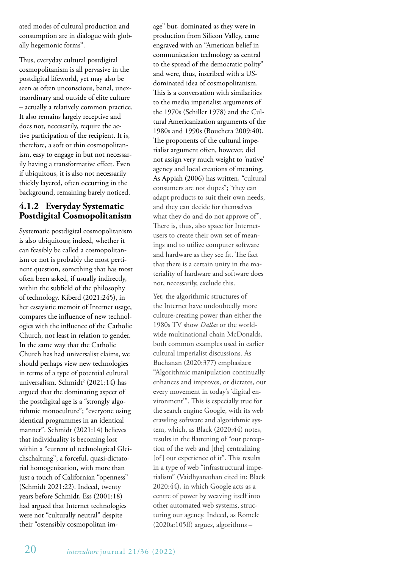ated modes of cultural production and consumption are in dialogue with globally hegemonic forms".

Thus, everyday cultural postdigital cosmopolitanism is all pervasive in the postdigital lifeworld, yet may also be seen as often unconscious, banal, unextraordinary and outside of elite culture – actually a relatively common practice. It also remains largely receptive and does not, necessarily, require the active participation of the recipient. It is, therefore, a soft or thin cosmopolitanism, easy to engage in but not necessarily having a transformative effect. Even if ubiquitous, it is also not necessarily thickly layered, often occurring in the background, remaining barely noticed.

#### **4.1.2 Everyday Systematic Postdigital Cosmopolitanism**

Systematic postdigital cosmopolitanism is also ubiquitous; indeed, whether it can feasibly be called a cosmopolitanism or not is probably the most pertinent question, something that has most often been asked, if usually indirectly, within the subfield of the philosophy of technology. Kiberd (2021:245), in her essayistic memoir of Internet usage, compares the influence of new technologies with the influence of the Catholic Church, not least in relation to gender. In the same way that the Catholic Church has had universalist claims, we should perhaps view new technologies in terms of a type of potential cultural universalism. Schmidt<sup>2</sup> (2021:14) has argued that the dominating aspect of the postdigital age is a "strongly algorithmic monoculture"; "everyone using identical programmes in an identical manner". Schmidt (2021:14) believes that individuality is becoming lost within a "current of technological Gleichschaltung"; a forceful, quasi-dictatorial homogenization, with more than just a touch of Californian "openness" (Schmidt 2021:22). Indeed, twenty years before Schmidt, Ess (2001:18) had argued that Internet technologies were not "culturally neutral" despite their "ostensibly cosmopolitan image" but, dominated as they were in production from Silicon Valley, came engraved with an "American belief in communication technology as central to the spread of the democratic polity" and were, thus, inscribed with a USdominated idea of cosmopolitanism. This is a conversation with similarities to the media imperialist arguments of the 1970s (Schiller 1978) and the Cultural Americanization arguments of the 1980s and 1990s (Bouchera 2009:40). The proponents of the cultural imperialist argument often, however, did not assign very much weight to 'native' agency and local creations of meaning. As Appiah (2006) has written, "cultural consumers are not dupes"; "they can adapt products to suit their own needs, and they can decide for themselves what they do and do not approve of". There is, thus, also space for Internetusers to create their own set of meanings and to utilize computer software and hardware as they see fit. The fact that there is a certain unity in the materiality of hardware and software does not, necessarily, exclude this.

Yet, the algorithmic structures of the Internet have undoubtedly more culture-creating power than either the 1980s TV show *Dallas* or the worldwide multinational chain McDonalds, both common examples used in earlier cultural imperialist discussions. As Buchanan (2020:377) emphasizes: "Algorithmic manipulation continually enhances and improves, or dictates, our every movement in today's 'digital environment'". This is especially true for the search engine Google, with its web crawling software and algorithmic system, which, as Black (2020:44) notes, results in the flattening of "our perception of the web and [the] centralizing [of] our experience of it". This results in a type of web "infrastructural imperialism" (Vaidhyanathan cited in: Black 2020:44), in which Google acts as a centre of power by weaving itself into other automated web systems, structuring our agency. Indeed, as Romele  $(2020a:105ff)$  argues, algorithms -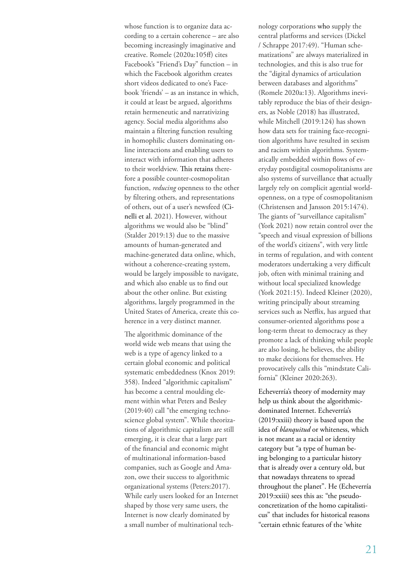whose function is to organize data according to a certain coherence – are also becoming increasingly imaginative and creative. Romele (2020a:105ff) cites Facebook's "Friend's Day" function – in which the Facebook algorithm creates short videos dedicated to one's Facebook 'friends' – as an instance in which, it could at least be argued, algorithms retain hermeneutic and narrativizing agency. Social media algorithms also maintain a filtering function resulting in homophilic clusters dominating online interactions and enabling users to interact with information that adheres to their worldview. This retains therefore a possible counter-cosmopolitan function, *reducing* openness to the other by filtering others, and representations of others, out of a user's newsfeed (Cinelli et al. 2021). However, without algorithms we would also be "blind" (Stalder 2019:13) due to the massive amounts of human-generated and machine-generated data online, which, without a coherence-creating system, would be largely impossible to navigate, and which also enable us to find out about the other online. But existing algorithms, largely programmed in the United States of America, create this coherence in a very distinct manner.

The algorithmic dominance of the world wide web means that using the web is a type of agency linked to a certain global economic and political systematic embeddedness (Knox 2019: 358). Indeed "algorithmic capitalism" has become a central moulding element within what Peters and Besley (2019:40) call "the emerging technoscience global system". While theorizations of algorithmic capitalism are still emerging, it is clear that a large part of the financial and economic might of multinational information-based companies, such as Google and Amazon, owe their success to algorithmic organizational systems (Peters:2017). While early users looked for an Internet shaped by those very same users, the Internet is now clearly dominated by a small number of multinational technology corporations who supply the central platforms and services (Dickel / Schrappe 2017:49). "Human schematizations" are always materialized in technologies, and this is also true for the "digital dynamics of articulation between databases and algorithms" (Romele 2020a:13). Algorithms inevitably reproduce the bias of their designers, as Noble (2018) has illustrated, while Mitchell (2019:124) has shown how data sets for training face-recognition algorithms have resulted in sexism and racism within algorithms. Systematically embedded within flows of everyday postdigital cosmopolitanisms are also systems of surveillance that actually largely rely on complicit agential worldopenness, on a type of cosmopolitanism (Christensen and Jansson 2015:1474). The giants of "surveillance capitalism" (York 2021) now retain control over the "speech and visual expression of billions of the world's citizens", with very little in terms of regulation, and with content moderators undertaking a very difficult job, often with minimal training and without local specialized knowledge (York 2021:15). Indeed Kleiner (2020), writing principally about streaming services such as Netflix, has argued that consumer-oriented algorithms pose a long-term threat to democracy as they promote a lack of thinking while people are also losing, he believes, the ability to make decisions for themselves. He provocatively calls this "mindstate California" (Kleiner 2020:263).

Echeverría's theory of modernity may help us think about the algorithmicdominated Internet. Echeverría's (2019:xxiii) theory is based upon the idea of *blanquitud* or whiteness, which is not meant as a racial or identity category but "a type of human being belonging to a particular history that is already over a century old, but that nowadays threatens to spread throughout the planet". He (Echeverría 2019:xxiii) sees this as: "the pseudoconcretization of the homo capitalisticus" that includes for historical reasons "certain ethnic features of the 'white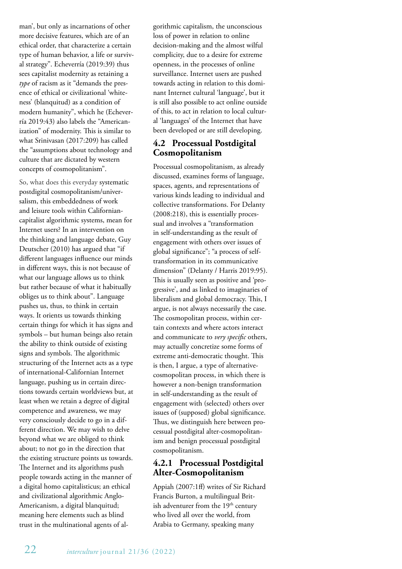man', but only as incarnations of other more decisive features, which are of an ethical order, that characterize a certain type of human behavior, a life or survival strategy". Echeverría (2019:39) thus sees capitalist modernity as retaining a *type* of racism as it "demands the presence of ethical or civilizational 'whiteness' (blanquitud) as a condition of modern humanity", which he (Echeverría 2019:43) also labels the "Americanization" of modernity. This is similar to what Srinivasan (2017:209) has called the "assumptions about technology and culture that are dictated by western concepts of cosmopolitanism".

So, what does this everyday systematic postdigital cosmopolitanism/universalism, this embeddedness of work and leisure tools within Californiancapitalist algorithmic systems, mean for Internet users? In an intervention on the thinking and language debate, Guy Deutscher (2010) has argued that "if different languages influence our minds in different ways, this is not because of what our language allows us to think but rather because of what it habitually obliges us to think about". Language pushes us, thus, to think in certain ways. It orients us towards thinking certain things for which it has signs and symbols – but human beings also retain the ability to think outside of existing signs and symbols. The algorithmic structuring of the Internet acts as a type of international-Californian Internet language, pushing us in certain directions towards certain worldviews but, at least when we retain a degree of digital competence and awareness, we may very consciously decide to go in a different direction. We may wish to delve beyond what we are obliged to think about; to not go in the direction that the existing structure points us towards. The Internet and its algorithms push people towards acting in the manner of a digital homo capitalisticus; an ethical and civilizational algorithmic Anglo-Americanism, a digital blanquitud; meaning here elements such as blind trust in the multinational agents of algorithmic capitalism, the unconscious loss of power in relation to online decision-making and the almost wilful complicity, due to a desire for extreme openness, in the processes of online surveillance. Internet users are pushed towards acting in relation to this dominant Internet cultural 'language', but it is still also possible to act online outside of this, to act in relation to local cultural 'languages' of the Internet that have been developed or are still developing.

## **4.2 Processual Postdigital Cosmopolitanism**

Processual cosmopolitanism, as already discussed, examines forms of language, spaces, agents, and representations of various kinds leading to individual and collective transformations. For Delanty (2008:218), this is essentially processual and involves a "transformation in self-understanding as the result of engagement with others over issues of global significance"; "a process of selftransformation in its communicative dimension" (Delanty / Harris 2019:95). This is usually seen as positive and 'progressive', and as linked to imaginaries of liberalism and global democracy. This, I argue, is not always necessarily the case. The cosmopolitan process, within certain contexts and where actors interact and communicate to *very specific* others, may actually concretize some forms of extreme anti-democratic thought. This is then, I argue, a type of alternativecosmopolitan process, in which there is however a non-benign transformation in self-understanding as the result of engagement with (selected) others over issues of (supposed) global significance. Thus, we distinguish here between processual postdigital alter-cosmopolitanism and benign processual postdigital cosmopolitanism.

### **4.2.1 Processual Postdigital Alter-Cosmopolitanism**

Appiah (2007:1ff) writes of Sir Richard Francis Burton, a multilingual British adventurer from the  $19<sup>th</sup>$  century who lived all over the world, from Arabia to Germany, speaking many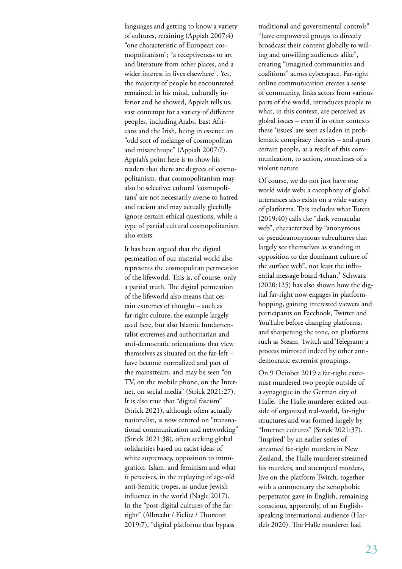languages and getting to know a variety of cultures, retaining (Appiah 2007:4) "one characteristic of European cosmopolitanism"; "a receptiveness to art and literature from other places, and a wider interest in lives elsewhere". Yet, the majority of people he encountered remained, in his mind, culturally inferior and he showed, Appiah tells us, vast contempt for a variety of different peoples, including Arabs, East Africans and the Irish, being in essence an "odd sort of mélange of cosmopolitan and misanthrope" (Appiah 2007:7). Appiah's point here is to show his readers that there are degrees of cosmopolitanism, that cosmopolitanism may also be selective; cultural 'cosmopolitans' are not necessarily averse to hatred and racism and may actually gleefully ignore certain ethical questions, while a type of partial cultural cosmopolitanism also exists.

It has been argued that the digital permeation of our material world also represents the cosmopolitan permeation of the lifeworld. This is, of course, only a partial truth. The digital permeation of the lifeworld also means that certain extremes of thought – such as far-right culture, the example largely used here, but also Islamic fundamentalist extremes and authoritarian and anti-democratic orientations that view themselves as situated on the far-left – have become normalized and part of the mainstream, and may be seen "on TV, on the mobile phone, on the Internet, on social media" (Strick 2021:27). It is also true that "digital fascism" (Strick 2021), although often actually nationalist, is now centred on "transnational communication and networking" (Strick 2021:38), often seeking global solidarities based on racist ideas of white supremacy, opposition to immigration, Islam, and feminism and what it perceives, in the replaying of age-old anti-Semitic tropes, as undue Jewish influence in the world (Nagle 2017). In the "post-digital cultures of the farright" (Albrecht / Fielitz / Thurston 2019:7), "digital platforms that bypass

traditional and governmental controls" "have empowered groups to directly broadcast their content globally to willing and unwilling audiences alike", creating "imagined communities and coalitions" across cyberspace. Far-right online communication creates a sense of community, links actors from various parts of the world, introduces people to what, in this context, are perceived as global issues – even if in other contexts these 'issues' are seen as laden in problematic conspiracy theories – and spurs certain people, as a result of this communication, to action, sometimes of a violent nature.

Of course, we do not just have one world wide web; a cacophony of global utterances also exists on a wide variety of platforms. This includes what Tuters (2019:40) calls the "dark vernacular web", characterized by "anonymous or pseudoanonymous subcultures that largely see themselves as standing in opposition to the dominant culture of the surface web", not least the influential message board 4chan.<sup>3</sup> Schwarz (2020:125) has also shown how the digital far-right now engages in platformhopping, gaining interested viewers and participants on Facebook, Twitter and YouTube before changing platforms, and sharpening the tone, on platforms such as Steam, Twitch and Telegram; a process mirrored indeed by other antidemocratic extremist groupings.

On 9 October 2019 a far-right extremist murdered two people outside of a synagogue in the German city of Halle. The Halle murderer existed outside of organized real-world, far-right structures and was formed largely by "Internet cultures" (Strick 2021:37). 'Inspired' by an earlier series of streamed far-right murders in New Zealand, the Halle murderer streamed his murders, and attempted murders, live on the platform Twitch, together with a commentary the xenophobic perpetrator gave in English, remaining conscious, apparently, of an Englishspeaking international audience (Hartleb 2020). The Halle murderer had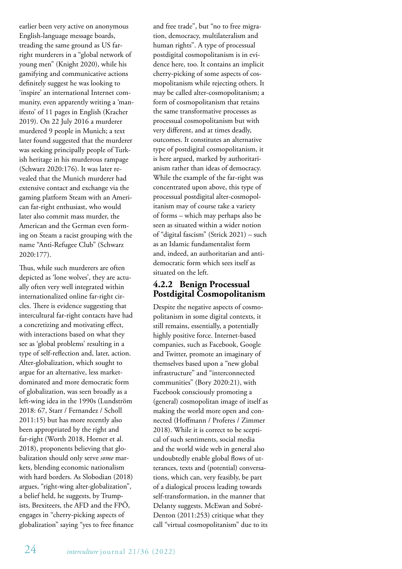earlier been very active on anonymous English-language message boards, treading the same ground as US farright murderers in a "global network of young men" (Knight 2020), while his gamifying and communicative actions definitely suggest he was looking to 'inspire' an international Internet community, even apparently writing a 'manifesto' of 11 pages in English (Kracher 2019). On 22 July 2016 a murderer murdered 9 people in Munich; a text later found suggested that the murderer was seeking principally people of Turkish heritage in his murderous rampage (Schwarz 2020:176). It was later revealed that the Munich murderer had extensive contact and exchange via the gaming platform Steam with an American far-right enthusiast, who would later also commit mass murder, the American and the German even forming on Steam a racist grouping with the name "Anti-Refugee Club" (Schwarz 2020:177).

Thus, while such murderers are often depicted as 'lone wolves', they are actually often very well integrated within internationalized online far-right circles. There is evidence suggesting that intercultural far-right contacts have had a concretizing and motivating effect, with interactions based on what they see as 'global problems' resulting in a type of self-reflection and, later, action. Alter-globalization, which sought to argue for an alternative, less marketdominated and more democratic form of globalization, was seen broadly as a left-wing idea in the 1990s (Lundström 2018: 67, Starr / Fernandez / Scholl 2011:15) but has more recently also been appropriated by the right and far-right (Worth 2018, Horner et al. 2018), proponents believing that globalization should only serve *some* markets, blending economic nationalism with hard borders. As Slobodian (2018) argues, "right-wing alter-globalization", a belief held, he suggests, by Trumpists, Brexiteers, the AFD and the FPÖ, engages in "cherry-picking aspects of globalization" saying "yes to free finance and free trade", but "no to free migration, democracy, multilateralism and human rights". A type of processual postdigital cosmopolitanism is in evidence here, too. It contains an implicit cherry-picking of some aspects of cosmopolitanism while rejecting others. It may be called alter-cosmopolitanism; a form of cosmopolitanism that retains the same transformative processes as processual cosmopolitanism but with very different, and at times deadly, outcomes. It constitutes an alternative type of postdigital cosmopolitanism, it is here argued, marked by authoritarianism rather than ideas of democracy. While the example of the far-right was concentrated upon above, this type of processual postdigital alter-cosmopolitanism may of course take a variety of forms – which may perhaps also be seen as situated within a wider notion of "digital fascism" (Strick 2021) – such as an Islamic fundamentalist form and, indeed, an authoritarian and antidemocratic form which sees itself as situated on the left.

#### **4.2.2 Benign Processual Postdigital Cosmopolitanism**

Despite the negative aspects of cosmopolitanism in some digital contexts, it still remains, essentially, a potentially highly positive force. Internet-based companies, such as Facebook, Google and Twitter, promote an imaginary of themselves based upon a "new global infrastructure" and "interconnected communities" (Bory 2020:21), with Facebook consciously promoting a (general) cosmopolitan image of itself as making the world more open and connected (Hoffmann / Proferes / Zimmer 2018). While it is correct to be sceptical of such sentiments, social media and the world wide web in general also undoubtedly enable global flows of utterances, texts and (potential) conversations, which can, very feasibly, be part of a dialogical process leading towards self-transformation, in the manner that Delanty suggests. McEwan and Sobré-Denton (2011:253) critique what they call "virtual cosmopolitanism" due to its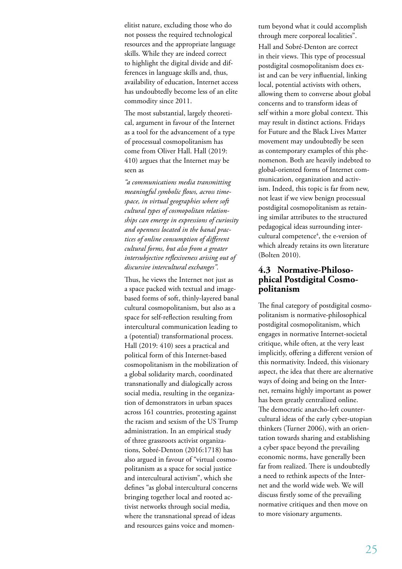elitist nature, excluding those who do not possess the required technological resources and the appropriate language skills. While they are indeed correct to highlight the digital divide and differences in language skills and, thus, availability of education, Internet access has undoubtedly become less of an elite commodity since 2011.

The most substantial, largely theoretical, argument in favour of the Internet as a tool for the advancement of a type of processual cosmopolitanism has come from Oliver Hall. Hall (2019: 410) argues that the Internet may be seen as

*"a communications media transmitting meaningful symbolic flows, across timespace, in virtual geographies where soft cultural types of cosmopolitan relationships can emerge in expressions of curiosity and openness located in the banal practices of online consumption of different cultural forms, but also from a greater intersubjective reflexiveness arising out of discursive intercultural exchanges".* 

Thus, he views the Internet not just as a space packed with textual and imagebased forms of soft, thinly-layered banal cultural cosmopolitanism, but also as a space for self-reflection resulting from intercultural communication leading to a (potential) transformational process. Hall (2019: 410) sees a practical and political form of this Internet-based cosmopolitanism in the mobilization of a global solidarity march, coordinated transnationally and dialogically across social media, resulting in the organization of demonstrators in urban spaces across 161 countries, protesting against the racism and sexism of the US Trump administration. In an empirical study of three grassroots activist organizations, Sobré-Denton (2016:1718) has also argued in favour of "virtual cosmopolitanism as a space for social justice and intercultural activism", which she defines "as global intercultural concerns bringing together local and rooted activist networks through social media, where the transnational spread of ideas and resources gains voice and momentum beyond what it could accomplish through mere corporeal localities". Hall and Sobré-Denton are correct in their views. This type of processual postdigital cosmopolitanism does exist and can be very influential, linking local, potential activists with others, allowing them to converse about global concerns and to transform ideas of self within a more global context. This may result in distinct actions. Fridays for Future and the Black Lives Matter movement may undoubtedly be seen as contemporary examples of this phenomenon. Both are heavily indebted to global-oriented forms of Internet communication, organization and activism. Indeed, this topic is far from new, not least if we view benign processual postdigital cosmopolitanism as retaining similar attributes to the structured pedagogical ideas surrounding intercultural competence<sup>4</sup>, the e-version of which already retains its own literature (Bolten 2010).

#### **4.3 Normative-Philosophical Postdigital Cosmopolitanism**

The final category of postdigital cosmopolitanism is normative-philosophical postdigital cosmopolitanism, which engages in normative Internet-societal critique, while often, at the very least implicitly, offering a different version of this normativity. Indeed, this visionary aspect, the idea that there are alternative ways of doing and being on the Internet, remains highly important as power has been greatly centralized online. The democratic anarcho-left countercultural ideas of the early cyber-utopian thinkers (Turner 2006), with an orientation towards sharing and establishing a cyber space beyond the prevailing economic norms, have generally been far from realized. There is undoubtedly a need to rethink aspects of the Internet and the world wide web. We will discuss firstly some of the prevailing normative critiques and then move on to more visionary arguments.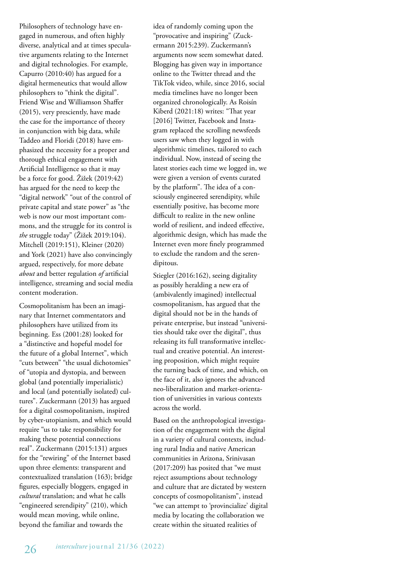Philosophers of technology have engaged in numerous, and often highly diverse, analytical and at times speculative arguments relating to the Internet and digital technologies. For example, Capurro (2010:40) has argued for a digital hermeneutics that would allow philosophers to "think the digital". Friend Wise and Williamson Shaffer (2015), very presciently, have made the case for the importance of theory in conjunction with big data, while Taddeo and Floridi (2018) have emphasized the necessity for a proper and thorough ethical engagement with Artificial Intelligence so that it may be a force for good. Žižek (2019:42) has argued for the need to keep the "digital network" "out of the control of private capital and state power" as "the web is now our most important commons, and the struggle for its control is *the* struggle today" (Žižek 2019:104). Mitchell (2019:151), Kleiner (2020) and York (2021) have also convincingly argued, respectively, for more debate *about* and better regulation *of* artificial intelligence, streaming and social media content moderation.

Cosmopolitanism has been an imaginary that Internet commentators and philosophers have utilized from its beginning. Ess (2001:28) looked for a "distinctive and hopeful model for the future of a global Internet", which "cuts between" "the usual dichotomies" of "utopia and dystopia, and between global (and potentially imperialistic) and local (and potentially isolated) cultures". Zuckermann (2013) has argued for a digital cosmopolitanism, inspired by cyber-utopianism, and which would require "us to take responsibility for making these potential connections real". Zuckermann (2015:131) argues for the "rewiring" of the Internet based upon three elements: transparent and contextualized translation (163); bridge figures, especially bloggers, engaged in *cultural* translation; and what he calls "engineered serendipity" (210), which would mean moving, while online, beyond the familiar and towards the

idea of randomly coming upon the "provocative and inspiring" (Zuckermann 2015:239). Zuckermann's arguments now seem somewhat dated. Blogging has given way in importance online to the Twitter thread and the TikTok video, while, since 2016, social media timelines have no longer been organized chronologically. As Roisín Kiberd (2021:18) writes: "That year [2016] Twitter, Facebook and Instagram replaced the scrolling newsfeeds users saw when they logged in with algorithmic timelines, tailored to each individual. Now, instead of seeing the latest stories each time we logged in, we were given a version of events curated by the platform". The idea of a consciously engineered serendipity, while essentially positive, has become more difficult to realize in the new online world of resilient, and indeed effective, algorithmic design, which has made the Internet even more finely programmed to exclude the random and the serendipitous.

Stiegler (2016:162), seeing digitality as possibly heralding a new era of (ambivalently imagined) intellectual cosmopolitanism, has argued that the digital should not be in the hands of private enterprise, but instead "universities should take over the digital", thus releasing its full transformative intellectual and creative potential. An interesting proposition, which might require the turning back of time, and which, on the face of it, also ignores the advanced neo-liberalization and market-orientation of universities in various contexts across the world.

Based on the anthropological investigation of the engagement with the digital in a variety of cultural contexts, including rural India and native American communities in Arizona, Srinivasan (2017:209) has posited that "we must reject assumptions about technology and culture that are dictated by western concepts of cosmopolitanism", instead "we can attempt to 'provincialize' digital media by locating the collaboration we create within the situated realities of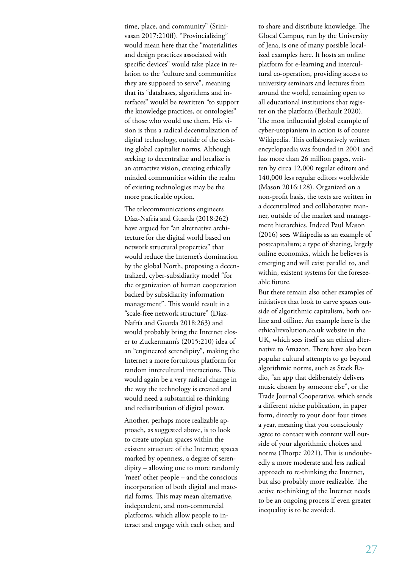time, place, and community" (Srinivasan 2017:210ff). "Provincializing" would mean here that the "materialities and design practices associated with specific devices" would take place in relation to the "culture and communities they are supposed to serve", meaning that its "databases, algorithms and interfaces" would be rewritten "to support the knowledge practices, or ontologies" of those who would use them. His vision is thus a radical decentralization of digital technology, outside of the existing global capitalist norms. Although seeking to decentralize and localize is an attractive vision, creating ethically minded communities within the realm of existing technologies may be the more practicable option.

The telecommunications engineers Díaz-Nafría and Guarda (2018:262) have argued for "an alternative architecture for the digital world based on network structural properties" that would reduce the Internet's domination by the global North, proposing a decentralized, cyber-subsidiarity model "for the organization of human cooperation backed by subsidiarity information management". This would result in a "scale-free network structure" (Díaz-Nafría and Guarda 2018:263) and would probably bring the Internet closer to Zuckermann's (2015:210) idea of an "engineered serendipity", making the Internet a more fortuitous platform for random intercultural interactions. This would again be a very radical change in the way the technology is created and would need a substantial re-thinking and redistribution of digital power.

Another, perhaps more realizable approach, as suggested above, is to look to create utopian spaces within the existent structure of the Internet; spaces marked by openness, a degree of serendipity – allowing one to more randomly 'meet' other people – and the conscious incorporation of both digital and material forms. This may mean alternative, independent, and non-commercial platforms, which allow people to interact and engage with each other, and

to share and distribute knowledge. The Glocal Campus, run by the University of Jena, is one of many possible localized examples here. It hosts an online platform for e-learning and intercultural co-operation, providing access to university seminars and lectures from around the world, remaining open to all educational institutions that register on the platform (Berhault 2020). The most influential global example of cyber-utopianism in action is of course Wikipedia. This collaboratively written encyclopaedia was founded in 2001 and has more than 26 million pages, written by circa 12,000 regular editors and 140,000 less regular editors worldwide (Mason 2016:128). Organized on a non-profit basis, the texts are written in a decentralized and collaborative manner, outside of the market and management hierarchies. Indeed Paul Mason (2016) sees Wikipedia as an example of postcapitalism; a type of sharing, largely online economics, which he believes is emerging and will exist parallel to, and within, existent systems for the foreseeable future.

But there remain also other examples of initiatives that look to carve spaces outside of algorithmic capitalism, both online and offline. An example here is the ethicalrevolution.co.uk website in the UK, which sees itself as an ethical alternative to Amazon. There have also been popular cultural attempts to go beyond algorithmic norms, such as Stack Radio, "an app that deliberately delivers music chosen by someone else", or the Trade Journal Cooperative, which sends a different niche publication, in paper form, directly to your door four times a year, meaning that you consciously agree to contact with content well outside of your algorithmic choices and norms (Thorpe 2021). This is undoubtedly a more moderate and less radical approach to re-thinking the Internet, but also probably more realizable. The active re-thinking of the Internet needs to be an ongoing process if even greater inequality is to be avoided.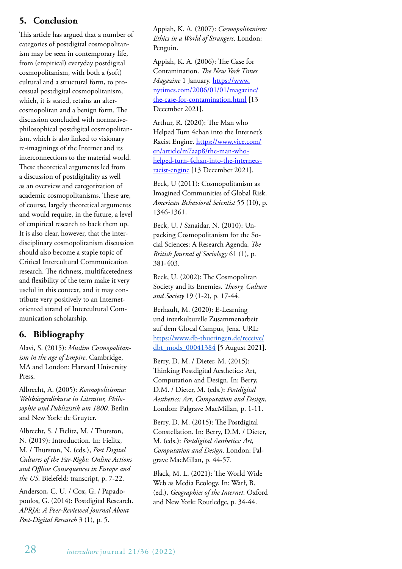## **5. Conclusion**

This article has argued that a number of categories of postdigital cosmopolitanism may be seen in contemporary life, from (empirical) everyday postdigital cosmopolitanism, with both a (soft) cultural and a structural form, to processual postdigital cosmopolitanism, which, it is stated, retains an altercosmopolitan and a benign form. The discussion concluded with normativephilosophical postdigital cosmopolitanism, which is also linked to visionary re-imaginings of the Internet and its interconnections to the material world. These theoretical arguments led from a discussion of postdigitality as well as an overview and categorization of academic cosmopolitanisms. These are, of course, largely theoretical arguments and would require, in the future, a level of empirical research to back them up. It is also clear, however, that the interdisciplinary cosmopolitanism discussion should also become a staple topic of Critical Intercultural Communication research. The richness, multifacetedness and flexibility of the term make it very useful in this context, and it may contribute very positively to an Internetoriented strand of Intercultural Communication scholarship.

## **6. Bibliography**

Alavi, S. (2015): *Muslim Cosmopolitanism in the age of Empire*. Cambridge, MA and London: Harvard University Press.

Albrecht, A. (2005): *Kosmopolitismus: Weltbürgerdiskurse in Literatur, Philosophie und Publizistik um 1800*. Berlin and New York: de Gruyter.

Albrecht, S. / Fielitz, M. / Thurston, N. (2019): Introduction. In: Fielitz, M. / Thurston, N. (eds.), *Post Digital Cultures of the Far-Right: Online Actions and Offline Consequences in Europe and the US*. Bielefeld: transcript, p. 7-22.

Anderson, C. U. / Cox, G. / Papadopoulos, G. (2014): Postdigital Research. *APRJA*: *A Peer-Reviewed Journal About Post-Digital Research* 3 (1), p. 5.

Appiah, K. A. (2007): *Cosmopolitanism: Ethics in a World of Strangers*. London: Penguin.

Appiah, K. A. (2006): The Case for Contamination. *The New York Times Magazine* 1 January. https://www. nytimes.com/2006/01/01/magazine/ the-case-for-contamination.html [13 December 2021].

Arthur, R. (2020): The Man who Helped Turn 4chan into the Internet's Racist Engine. https://www.vice.com/ en/article/m7aap8/the-man-whohelped-turn-4chan-into-the-internetsracist-engine [13 December 2021].

Beck, U (2011): Cosmopolitanism as Imagined Communities of Global Risk. *American Behavioral Scientist* 55 (10), p. 1346-1361.

Beck, U. / Sznaidar, N. (2010): Unpacking Cosmopolitanism for the Social Sciences: A Research Agenda. *The British Journal of Sociology* 61 (1), p. 381-403.

Beck, U. (2002): The Cosmopolitan Society and its Enemies. *Theory, Culture and Society* 19 (1-2), p. 17-44.

Berhault, M. (2020): E-Learning und interkulturelle Zusammenarbeit auf dem Glocal Campus, Jena. URL: https://www.db-thueringen.de/receive/ dbt\_mods\_00041384 [5 August 2021].

Berry, D. M. / Dieter, M. (2015): Thinking Postdigital Aesthetics: Art, Computation and Design. In: Berry, D.M. / Dieter, M. (eds.): *Postdigital Aesthetics: Art, Computation and Design*, London: Palgrave MacMillan, p. 1-11.

Berry, D. M. (2015): The Postdigital Constellation. In: Berry, D.M. / Dieter, M. (eds.): *Postdigital Aesthetics: Art, Computation and Design*. London: Palgrave MacMillan, p. 44-57.

Black, M. L. (2021): The World Wide Web as Media Ecology. In: Warf, B. (ed.), *Geographies of the Internet*. Oxford and New York: Routledge, p. 34-44.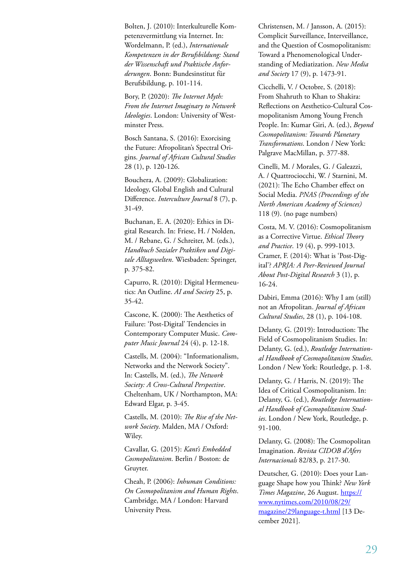Bolten, J. (2010): Interkulturelle Kompetenzvermittlung via Internet. In: Wordelmann, P. (ed.), *Internationale Kompetenzen in der Berufsbildung: Stand der Wissenschaft und Praktische Anforderungen*. Bonn: Bundesinstitut für Berufsbildung, p. 101-114.

Bory, P. (2020): *The Internet Myth: From the Internet Imaginary to Network Ideologies*. London: University of Westminster Press.

Bosch Santana, S. (2016): Exorcising the Future: Afropolitan's Spectral Origins. *Journal of African Cultural Studies* 28 (1), p. 120-126.

Bouchera, A. (2009): Globalization: Ideology, Global English and Cultural Difference. *Interculture Journal* 8 (7), p. 31-49.

Buchanan, E. A. (2020): Ethics in Digital Research. In: Friese, H. / Nolden, M. / Rebane, G. / Schreiter, M. (eds.), *Handbuch Sozialer Praktiken und Digitale Alltagswelten*. Wiesbaden: Springer, p. 375-82.

Capurro, R. (2010): Digital Hermeneutics: An Outline. *AI and Society* 25, p. 35-42.

Cascone, K. (2000): The Aesthetics of Failure: 'Post-Digital' Tendencies in Contemporary Computer Music. *Computer Music Journal* 24 (4), p. 12-18.

Castells, M. (2004): "Informationalism, Networks and the Network Society". In: Castells, M. (ed.), *The Network Society: A Cross-Cultural Perspective*. Cheltenham, UK / Northampton, MA: Edward Elgar, p. 3-45.

Castells, M. (2010): *The Rise of the Network Society*. Malden, MA / Oxford: Wiley.

Cavallar, G. (2015): *Kant's Embedded Cosmopolitanism*. Berlin / Boston: de Gruyter.

Cheah, P. (2006): *Inhuman Conditions: On Cosmopolitanism and Human Rights*. Cambridge, MA / London: Harvard University Press.

Christensen, M. / Jansson, A. (2015): Complicit Surveillance, Interveillance, and the Question of Cosmopolitanism: Toward a Phenomenological Understanding of Mediatization. *New Media and Society* 17 (9), p. 1473-91.

Cicchelli, V. / Octobre, S. (2018): From Shahruth to Khan to Shakira: Reflections on Aesthetico-Cultural Cosmopolitanism Among Young French People. In: Kumar Giri, A. (ed.), *Beyond Cosmopolitanism: Towards Planetary Transformations*. London / New York: Palgrave MacMillan, p. 377-88.

Cinelli, M. / Morales, G. / Galeazzi, A. / Quattrociocchi, W. / Starnini, M. (2021): The Echo Chamber effect on Social Media. *PNAS (Proceedings of the North American Academy of Sciences)* 118 (9). (no page numbers)

Costa, M. V. (2016): Cosmopolitanism as a Corrective Virtue. *Ethical Theory and Practice*. 19 (4), p. 999-1013. Cramer, F. (2014): What is 'Post-Digital'? *APRJA: A Peer-Reviewed Journal About Post-Digital Research* 3 (1), p. 16-24.

Dabiri, Emma (2016): Why I am (still) not an Afropolitan. *Journal of African Cultural Studies*, 28 (1), p. 104-108.

Delanty, G. (2019): Introduction: The Field of Cosmopolitanism Studies. In: Delanty, G. (ed.), *Routledge International Handbook of Cosmopolitanism Studies*. London / New York: Routledge, p. 1-8.

Delanty, G. / Harris, N. (2019): The Idea of Critical Cosmopolitanism. In: Delanty, G. (ed.), *Routledge International Handbook of Cosmopolitanism Studies*. London / New York, Routledge, p. 91-100.

Delanty, G. (2008): The Cosmopolitan Imagination. *Revista CIDOB d'Afers Internacionals* 82/83, p. 217-30.

Deutscher, G. (2010): Does your Language Shape how you Think? *New York Times Magazine*, 26 August. https:// www.nytimes.com/2010/08/29/ magazine/29language-t.html [13 December 2021].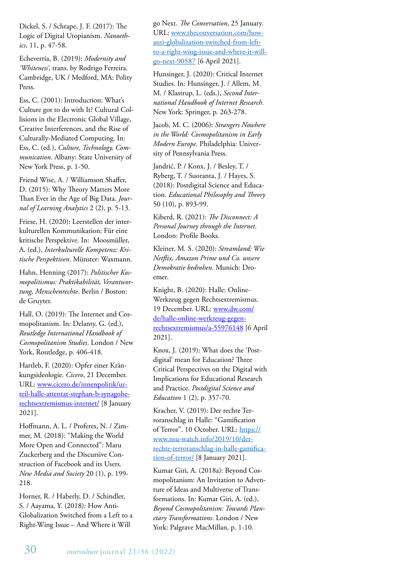Dickel, S. / Schrape, J. F. (2017): The Logic of Digital Utopianism. *Nanoethics*, 11, p. 47-58.

Echeverría, B. (2019): *Modernity and 'Whiteness'*, trans. by Rodrigo Ferreira. Cambridge, UK / Medford, MA: Polity Press.

Ess, C. (2001): Introduction: What's Culture got to do with It? Cultural Collisions in the Electronic Global Village, Creative Interferences, and the Rise of Culturally-Mediated Computing. In: Ess, C. (ed.), *Culture, Technology, Communication*. Albany: State University of New York Press, p. 1-50.

Friend Wise, A. / Williamson Shaffer, D. (2015): Why Theory Matters More Than Ever in the Age of Big Data. *Journal of Learning Analytics* 2 (2), p. 5-13.

Friese, H. (2020): Leerstellen der interkulturellen Kommunikation: Für eine kritische Perspektive. In: Moosmüller, A. (ed.), *Interkulturelle Kompetenz: Kritische Perspektiven*. Münster: Waxmann.

Hahn, Henning (2017): *Politischer Kosmopolitismus: Praktikabilität, Verantwortung, Menschenrechte*. Berlin / Boston: de Gruyter.

Hall, O. (2019): The Internet and Cosmopolitanism. In: Delanty, G. (ed.), *Routledge International Handbook of Cosmopolitanism Studies*. London / New York, Routledge, p. 406-418.

Hartleb, F. (2020): Opfer einer Kränkungsideologie. *Cicero*, 21 December. URL: www.cicero.de/innenpolitik/urteil-halle-attentat-stephan-b-synagoherechtsextremismus-internet/ [8 January 2021].

Hoffmann, A. L. / Proferes, N. / Zimmer, M. (2018): "Making the World More Open and Connected": Maru Zuckerberg and the Discursive Construction of Facebook and its Users. *New Media and Society* 20 (1), p. 199- 218.

Horner, R. / Haberly, D. / Schindler, S. / Aayama, Y. (2018): How Anti-Globalization Switched from a Left to a Right-Wing Issue – And Where it Will

go Next. *The Conversation*, 25 January. URL: www.theconversation.com/howanti-globalization-switched-from-leftto-a-right-wing-issue-and-where-it-willgo-next-90587 [6 April 2021].

Hunsinger, J. (2020): Critical Internet Studies. In: Hunsinger, J. / Allem, M. M. / Klastrup, L. (eds.), *Second International Handbook of Internet Research.*  New York: Springer, p. 263-278.

Jacob, M. C. (2006): *Strangers Nowhere in the World: Cosmopolitanism in Early Modern Europe*. Philadelphia: University of Pennsylvania Press.

Jandrić, P. / Konx, J. / Besley, T. / Ryberg, T. / Suoranta, J. / Hayes, S. (2018): Postdigital Science and Education. *Educational Philosophy and Theory* 50 (10), p. 893-99.

Kiberd, R. (2021): *The Disconnect: A Personal Journey through the Internet*. London: Profile Books.

Kleiner, M. S. (2020): *Streamland: Wie Netflix, Amazon Prime und Co. unsere Demokratie bedrohen*. Munich: Droemer.

Knight, B. (2020): Halle: Online-Werkzeug gegen Rechtsextremismus. 19 December. URL: www.dw.com/ de/halle-online-werkzeug-gegenrechtsextremismus/a-55976148 [6 April 2021].

Knox, J. (2019): What does the 'Postdigital' mean for Education? Three Critical Perspectives on the Digital with Implications for Educational Research and Practice. *Postdigital Science and Education* 1 (2), p. 357-70.

Kracher, V. (2019): Der rechte Terroranschlag in Halle: "Gamification of Terror". 10 October. URL: https:// www.nsu-watch.info/2019/10/derrechte-terroranschlag-in-halle-gamification-of-terror/ [8 January 2021].

Kumar Giri, A. (2018a): Beyond Cosmopolitanism: An Invitation to Adventure of Ideas and Multiverse of Transformations. In: Kumar Giri, A. (ed.), *Beyond Cosmopolitanism: Towards Planetary Transformations*. London / New York: Palgrave MacMillan, p. 1-10.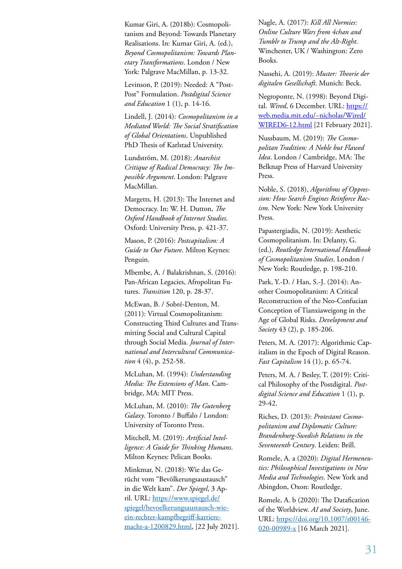Kumar Giri, A. (2018b): Cosmopolitanism and Beyond: Towards Planetary Realisations. In: Kumar Giri, A. (ed.), *Beyond Cosmopolitanism: Towards Planetary Transformations*. London / New York: Palgrave MacMillan, p. 13-32.

Levinson, P. (2019): Needed: A "Post-Post" Formulation. *Postdigital Science and Education* 1 (1), p. 14-16.

Lindell, J. (2014): *Cosmopolitanism in a Mediated World: The Social Stratification of Global Orientations*. Unpublished PhD Thesis of Karlstad University.

Lundström, M. (2018): *Anarchist Critique of Radical Democracy: The Impossible Argument*. London: Palgrave MacMillan.

Margetts, H. (2013): The Internet and Democracy. In: W. H. Dutton, *The Oxford Handbook of Internet Studies*. Oxford: University Press, p. 421-37.

Mason, P. (2016): *Postcapitalism: A Guide to Our Future*. Milton Keynes: Penguin.

Mbembe, A. / Balakrishnan, S. (2016): Pan-African Legacies, Afropolitan Futures. *Transition* 120, p. 28-37.

McEwan, B. / Sobré-Denton, M. (2011): Virtual Cosmopolitanism: Constructing Third Cultures and Transmitting Social and Cultural Capital through Social Media. *Journal of International and Intercultural Communication* 4 (4), p. 252-58.

McLuhan, M. (1994): *Understanding Media: The Extensions of Man*. Cambridge, MA: MIT Press.

McLuhan, M. (2010): *The Gutenberg Galaxy*. Toronto / Buffalo / London: University of Toronto Press.

Mitchell, M. (2019): *Artificial Intelligence: A Guide for Thinking Humans*. Milton Keynes: Pelican Books.

Minkmar, N. (2018): Wie das Gerücht vom "Bevölkerungsaustausch" in die Welt kam". *Der Spiegel*, 3 April. URL: https://www.spiegel.de/ spiegel/bevoelkerungsaustausch-wieein-rechter-kampfbegriff-karrieremacht-a-1200829.html, [22 July 2021]. Nagle, A. (2017): *Kill All Normies: Online Culture Wars from 4chan and Tumblr to Trump and the Alt-Right*. Winchester, UK / Washington: Zero Books.

Nassehi, A. (2019): *Muster: Theorie der digitalen Gesellschaft*. Munich: Beck.

Negroponte, N. (1998): Beyond Digital. *Wired*, 6 December. URL: https:// web.media.mit.edu/~nicholas/Wired/ WIRED6-12.html [21 February 2021].

Nussbaum, M. (2019): *The Cosmopolitan Tradition: A Noble but Flawed Idea*. London / Cambridge, MA: The Belknap Press of Harvard University Press.

Noble, S. (2018), *Algorithms of Oppression: How Search Engines Reinforce Racism*. New York: New York University Press.

Papastergiadis, N. (2019): Aesthetic Cosmopolitanism. In: Delanty, G. (ed.), *Routledge International Handbook of Cosmopolitanism Studies*. London / New York: Routledge, p. 198-210.

Park, Y.-D. / Han, S.-J. (2014): Another Cosmopolitanism: A Critical Reconstruction of the Neo-Confucian Conception of Tianxiaweigong in the Age of Global Risks. *Development and Society* 43 (2), p. 185-206.

Peters, M. A. (2017): Algorithmic Capitalism in the Epoch of Digital Reason. *Fast Capitalism* 14 (1), p. 65-74.

Peters, M. A. / Besley, T. (2019): Critical Philosophy of the Postdigital. *Postdigital Science and Education* 1 (1), p. 29-42.

Riches, D. (2013): *Protestant Cosmopolitanism and Diplomatic Culture: Brandenburg-Swedish Relations in the Seventeenth Century*. Leiden: Brill.

Romele, A. a (2020): *Digital Hermeneutics: Philosophical Investigations in New Media and Technologies*. New York and Abingdon, Oxon: Routledge.

Romele, A. b (2020): The Datafication of the Worldview. *AI and Society*, June. URL: https://doi.org/10.1007/s00146- 020-00989-x [16 March 2021].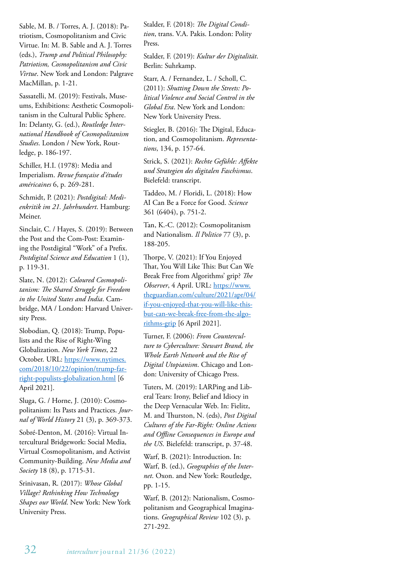Sable, M. B. / Torres, A. J. (2018): Patriotism, Cosmopolitanism and Civic Virtue. In: M. B. Sable and A. J. Torres (eds.), *Trump and Political Philosophy: Patriotism, Cosmopolitanism and Civic Virtue*. New York and London: Palgrave MacMillan, p. 1-21.

Sassatelli, M. (2019): Festivals, Museums, Exhibitions: Aesthetic Cosmopolitanism in the Cultural Public Sphere. In: Delanty, G. (ed.), *Routledge International Handbook of Cosmopolitanism Studies*. London / New York, Routledge, p. 186-197.

Schiller, H.I. (1978): Media and Imperialism. *Revue française d'études américaines* 6, p. 269-281.

Schmidt, P. (2021): *Postdigital: Medienkritik im 21. Jahrhundert*. Hamburg: Meiner.

Sinclair, C. / Hayes, S. (2019): Between the Post and the Com-Post: Examining the Postdigital "Work" of a Prefix. *Postdigital Science and Education* 1 (1), p. 119-31.

Slate, N. (2012): *Coloured Cosmopolitanism: The Shared Struggle for Freedom in the United States and India*. Cambridge, MA / London: Harvard University Press.

Slobodian, Q. (2018): Trump, Populists and the Rise of Right-Wing Globalization. *New York Times*, 22 October. URL: https://www.nytimes. com/2018/10/22/opinion/trump-farright-populists-globalization.html [6 April 2021].

Sluga, G. / Horne, J. (2010): Cosmopolitanism: Its Pasts and Practices. *Journal of World History* 21 (3), p. 369-373.

Sobré-Denton, M. (2016): Virtual Intercultural Bridgework: Social Media, Virtual Cosmopolitanism, and Activist Community-Building. *New Media and Society* 18 (8), p. 1715-31.

Srinivasan, R. (2017): *Whose Global Village? Rethinking How Technology Shapes our World*. New York: New York University Press.

Stalder, F. (2018): *The Digital Condition*, trans. V.A. Pakis. London: Polity Press.

Stalder, F. (2019): *Kultur der Digitalität*. Berlin: Suhrkamp.

Starr, A. / Fernandez, L. / Scholl, C. (2011): *Shutting Down the Streets: Political Violence and Social Control in the Global Era*. New York and London: New York University Press.

Stiegler, B. (2016): The Digital, Education, and Cosmopolitanism. *Representations*, 134, p. 157-64.

Strick, S. (2021): *Rechte Gefühle: Affekte und Strategien des digitalen Faschismus*. Bielefeld: transcript.

Taddeo, M. / Floridi, L. (2018): How AI Can Be a Force for Good. *Science*  361 (6404), p. 751-2.

Tan, K.-C. (2012): Cosmopolitanism and Nationalism. *Il Politico* 77 (3), p. 188-205.

Thorpe, V. (2021): If You Enjoyed That, You Will Like This: But Can We Break Free from Algorithms' grip? *The Observer*, 4 April. URL: https://www. theguardian.com/culture/2021/apr/04/ if-you-enjoyed-that-you-will-like-thisbut-can-we-break-free-from-the-algorithms-grip [6 April 2021].

Turner, F. (2006): *From Counterculture to Cyberculture: Stewart Brand, the Whole Earth Network and the Rise of Digital Utopianism*. Chicago and London: University of Chicago Press.

Tuters, M. (2019): LARPing and Liberal Tears: Irony, Belief and Idiocy in the Deep Vernacular Web. In: Fielitz, M. and Thurston, N. (eds), *Post Digital Cultures of the Far-Right: Online Actions and Offline Consequences in Europe and the US*. Bielefeld: transcript, p. 37-48.

Warf, B. (2021): Introduction. In: Warf, B. (ed.), *Geographies of the Internet*. Oxon. and New York: Routledge, pp. 1-15.

Warf, B. (2012): Nationalism, Cosmopolitanism and Geographical Imaginations. *Geographical Review* 102 (3), p. 271-292.